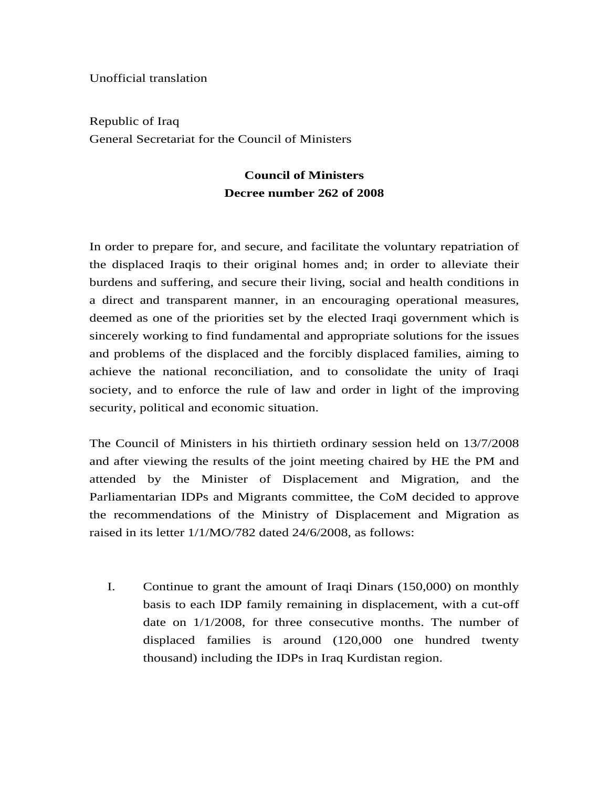Unofficial translation

Republic of Iraq General Secretariat for the Council of Ministers

## **Council of Ministers Decree number 262 of 2008**

In order to prepare for, and secure, and facilitate the voluntary repatriation of the displaced Iraqis to their original homes and; in order to alleviate their burdens and suffering, and secure their living, social and health conditions in a direct and transparent manner, in an encouraging operational measures, deemed as one of the priorities set by the elected Iraqi government which is sincerely working to find fundamental and appropriate solutions for the issues and problems of the displaced and the forcibly displaced families, aiming to achieve the national reconciliation, and to consolidate the unity of Iraqi society, and to enforce the rule of law and order in light of the improving security, political and economic situation.

The Council of Ministers in his thirtieth ordinary session held on 13/7/2008 and after viewing the results of the joint meeting chaired by HE the PM and attended by the Minister of Displacement and Migration, and the Parliamentarian IDPs and Migrants committee, the CoM decided to approve the recommendations of the Ministry of Displacement and Migration as raised in its letter 1/1/MO/782 dated 24/6/2008, as follows:

I. Continue to grant the amount of Iraqi Dinars (150,000) on monthly basis to each IDP family remaining in displacement, with a cut-off date on 1/1/2008, for three consecutive months. The number of displaced families is around (120,000 one hundred twenty thousand) including the IDPs in Iraq Kurdistan region.